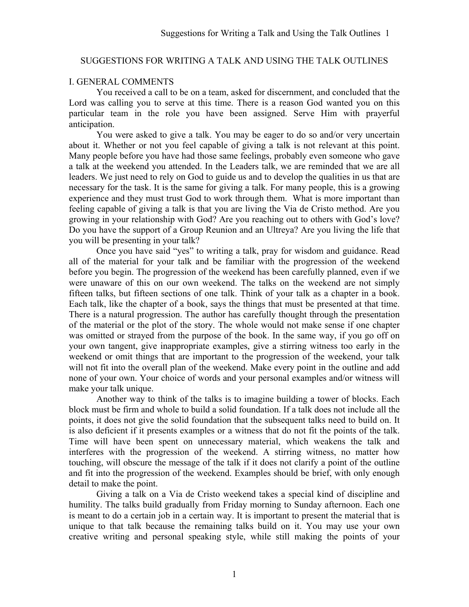### SUGGESTIONS FOR WRITING A TALK AND USING THE TALK OUTLINES

#### I. GENERAL COMMENTS

 You received a call to be on a team, asked for discernment, and concluded that the Lord was calling you to serve at this time. There is a reason God wanted you on this particular team in the role you have been assigned. Serve Him with prayerful anticipation.

You were asked to give a talk. You may be eager to do so and/or very uncertain about it. Whether or not you feel capable of giving a talk is not relevant at this point. Many people before you have had those same feelings, probably even someone who gave a talk at the weekend you attended. In the Leaders talk, we are reminded that we are all leaders. We just need to rely on God to guide us and to develop the qualities in us that are necessary for the task. It is the same for giving a talk. For many people, this is a growing experience and they must trust God to work through them. What is more important than feeling capable of giving a talk is that you are living the Via de Cristo method. Are you growing in your relationship with God? Are you reaching out to others with God's love? Do you have the support of a Group Reunion and an Ultreya? Are you living the life that you will be presenting in your talk?

 Once you have said "yes" to writing a talk, pray for wisdom and guidance. Read all of the material for your talk and be familiar with the progression of the weekend before you begin. The progression of the weekend has been carefully planned, even if we were unaware of this on our own weekend. The talks on the weekend are not simply fifteen talks, but fifteen sections of one talk. Think of your talk as a chapter in a book. Each talk, like the chapter of a book, says the things that must be presented at that time. There is a natural progression. The author has carefully thought through the presentation of the material or the plot of the story. The whole would not make sense if one chapter was omitted or strayed from the purpose of the book. In the same way, if you go off on your own tangent, give inappropriate examples, give a stirring witness too early in the weekend or omit things that are important to the progression of the weekend, your talk will not fit into the overall plan of the weekend. Make every point in the outline and add none of your own. Your choice of words and your personal examples and/or witness will make your talk unique.

 Another way to think of the talks is to imagine building a tower of blocks. Each block must be firm and whole to build a solid foundation. If a talk does not include all the points, it does not give the solid foundation that the subsequent talks need to build on. It is also deficient if it presents examples or a witness that do not fit the points of the talk. Time will have been spent on unnecessary material, which weakens the talk and interferes with the progression of the weekend. A stirring witness, no matter how touching, will obscure the message of the talk if it does not clarify a point of the outline and fit into the progression of the weekend. Examples should be brief, with only enough detail to make the point.

Giving a talk on a Via de Cristo weekend takes a special kind of discipline and humility. The talks build gradually from Friday morning to Sunday afternoon. Each one is meant to do a certain job in a certain way. It is important to present the material that is unique to that talk because the remaining talks build on it. You may use your own creative writing and personal speaking style, while still making the points of your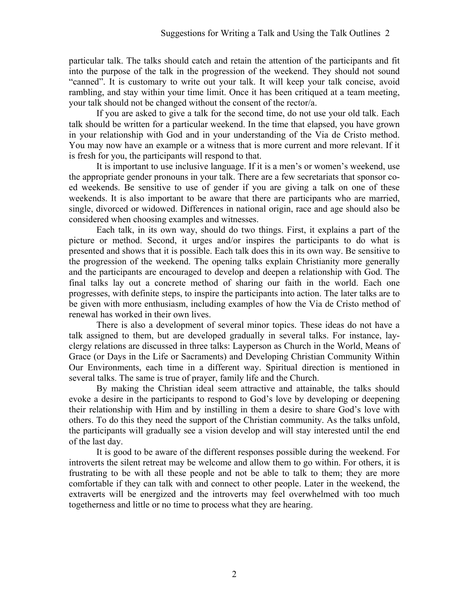particular talk. The talks should catch and retain the attention of the participants and fit into the purpose of the talk in the progression of the weekend. They should not sound "canned". It is customary to write out your talk. It will keep your talk concise, avoid rambling, and stay within your time limit. Once it has been critiqued at a team meeting, your talk should not be changed without the consent of the rector/a.

If you are asked to give a talk for the second time, do not use your old talk. Each talk should be written for a particular weekend. In the time that elapsed, you have grown in your relationship with God and in your understanding of the Via de Cristo method. You may now have an example or a witness that is more current and more relevant. If it is fresh for you, the participants will respond to that.

It is important to use inclusive language. If it is a men's or women's weekend, use the appropriate gender pronouns in your talk. There are a few secretariats that sponsor coed weekends. Be sensitive to use of gender if you are giving a talk on one of these weekends. It is also important to be aware that there are participants who are married, single, divorced or widowed. Differences in national origin, race and age should also be considered when choosing examples and witnesses.

Each talk, in its own way, should do two things. First, it explains a part of the picture or method. Second, it urges and/or inspires the participants to do what is presented and shows that it is possible. Each talk does this in its own way. Be sensitive to the progression of the weekend. The opening talks explain Christianity more generally and the participants are encouraged to develop and deepen a relationship with God. The final talks lay out a concrete method of sharing our faith in the world. Each one progresses, with definite steps, to inspire the participants into action. The later talks are to be given with more enthusiasm, including examples of how the Via de Cristo method of renewal has worked in their own lives.

There is also a development of several minor topics. These ideas do not have a talk assigned to them, but are developed gradually in several talks. For instance, layclergy relations are discussed in three talks: Layperson as Church in the World, Means of Grace (or Days in the Life or Sacraments) and Developing Christian Community Within Our Environments, each time in a different way. Spiritual direction is mentioned in several talks. The same is true of prayer, family life and the Church.

By making the Christian ideal seem attractive and attainable, the talks should evoke a desire in the participants to respond to God's love by developing or deepening their relationship with Him and by instilling in them a desire to share God's love with others. To do this they need the support of the Christian community. As the talks unfold, the participants will gradually see a vision develop and will stay interested until the end of the last day.

 It is good to be aware of the different responses possible during the weekend. For introverts the silent retreat may be welcome and allow them to go within. For others, it is frustrating to be with all these people and not be able to talk to them; they are more comfortable if they can talk with and connect to other people. Later in the weekend, the extraverts will be energized and the introverts may feel overwhelmed with too much togetherness and little or no time to process what they are hearing.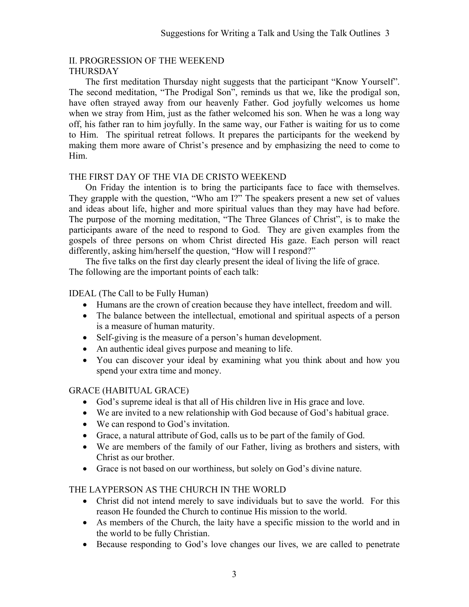#### II. PROGRESSION OF THE WEEKEND THURSDAY

 The first meditation Thursday night suggests that the participant "Know Yourself". The second meditation, "The Prodigal Son", reminds us that we, like the prodigal son, have often strayed away from our heavenly Father. God joyfully welcomes us home when we stray from Him, just as the father welcomed his son. When he was a long way off, his father ran to him joyfully. In the same way, our Father is waiting for us to come to Him. The spiritual retreat follows. It prepares the participants for the weekend by making them more aware of Christ's presence and by emphasizing the need to come to Him.

### THE FIRST DAY OF THE VIA DE CRISTO WEEKEND

 On Friday the intention is to bring the participants face to face with themselves. They grapple with the question, "Who am I?" The speakers present a new set of values and ideas about life, higher and more spiritual values than they may have had before. The purpose of the morning meditation, "The Three Glances of Christ", is to make the participants aware of the need to respond to God. They are given examples from the gospels of three persons on whom Christ directed His gaze. Each person will react differently, asking him/herself the question, "How will I respond?"

 The five talks on the first day clearly present the ideal of living the life of grace. The following are the important points of each talk:

### IDEAL (The Call to be Fully Human)

- Humans are the crown of creation because they have intellect, freedom and will.
- The balance between the intellectual, emotional and spiritual aspects of a person is a measure of human maturity.
- Self-giving is the measure of a person's human development.
- An authentic ideal gives purpose and meaning to life.
- You can discover your ideal by examining what you think about and how you spend your extra time and money.

## GRACE (HABITUAL GRACE)

- God's supreme ideal is that all of His children live in His grace and love.
- We are invited to a new relationship with God because of God's habitual grace.
- We can respond to God's invitation.
- Grace, a natural attribute of God, calls us to be part of the family of God.
- We are members of the family of our Father, living as brothers and sisters, with Christ as our brother.
- Grace is not based on our worthiness, but solely on God's divine nature.

## THE LAYPERSON AS THE CHURCH IN THE WORLD

- Christ did not intend merely to save individuals but to save the world. For this reason He founded the Church to continue His mission to the world.
- As members of the Church, the laity have a specific mission to the world and in the world to be fully Christian.
- Because responding to God's love changes our lives, we are called to penetrate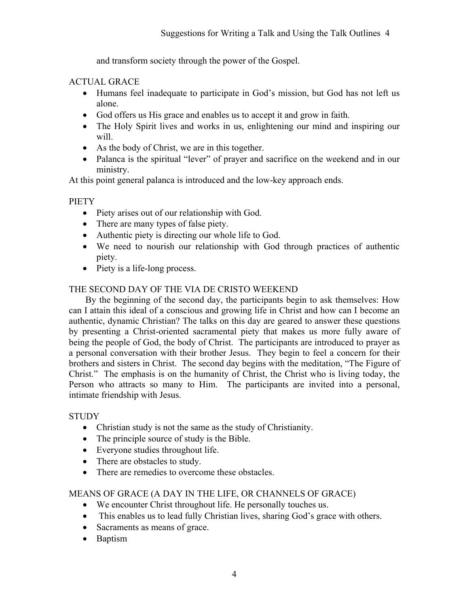and transform society through the power of the Gospel.

## ACTUAL GRACE

- Humans feel inadequate to participate in God's mission, but God has not left us alone.
- God offers us His grace and enables us to accept it and grow in faith.
- The Holy Spirit lives and works in us, enlightening our mind and inspiring our will.
- As the body of Christ, we are in this together.
- Palanca is the spiritual "lever" of prayer and sacrifice on the weekend and in our ministry.

At this point general palanca is introduced and the low-key approach ends.

## PIETY

- Piety arises out of our relationship with God.
- There are many types of false piety.
- Authentic piety is directing our whole life to God.
- We need to nourish our relationship with God through practices of authentic piety.
- Piety is a life-long process.

## THE SECOND DAY OF THE VIA DE CRISTO WEEKEND

 By the beginning of the second day, the participants begin to ask themselves: How can I attain this ideal of a conscious and growing life in Christ and how can I become an authentic, dynamic Christian? The talks on this day are geared to answer these questions by presenting a Christ-oriented sacramental piety that makes us more fully aware of being the people of God, the body of Christ. The participants are introduced to prayer as a personal conversation with their brother Jesus. They begin to feel a concern for their brothers and sisters in Christ. The second day begins with the meditation, "The Figure of Christ." The emphasis is on the humanity of Christ, the Christ who is living today, the Person who attracts so many to Him. The participants are invited into a personal, intimate friendship with Jesus.

## **STUDY**

- Christian study is not the same as the study of Christianity.
- The principle source of study is the Bible.
- Everyone studies throughout life.
- There are obstacles to study.
- There are remedies to overcome these obstacles.

## MEANS OF GRACE (A DAY IN THE LIFE, OR CHANNELS OF GRACE)

- We encounter Christ throughout life. He personally touches us.
- This enables us to lead fully Christian lives, sharing God's grace with others.
- Sacraments as means of grace.
- Baptism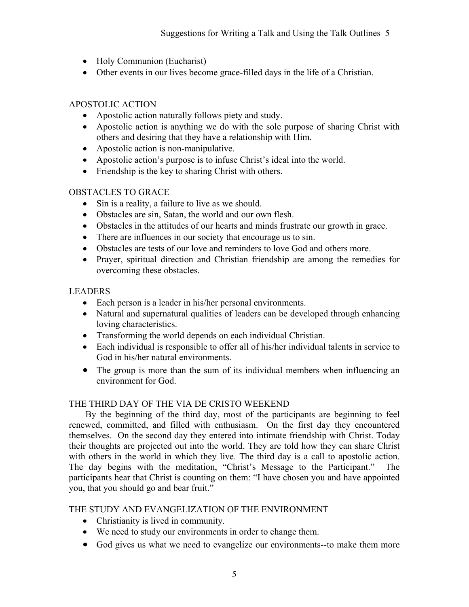- Holy Communion (Eucharist)
- Other events in our lives become grace-filled days in the life of a Christian.

## APOSTOLIC ACTION

- Apostolic action naturally follows piety and study.
- Apostolic action is anything we do with the sole purpose of sharing Christ with others and desiring that they have a relationship with Him.
- Apostolic action is non-manipulative.
- Apostolic action's purpose is to infuse Christ's ideal into the world.
- Friendship is the key to sharing Christ with others.

## OBSTACLES TO GRACE

- Sin is a reality, a failure to live as we should.
- Obstacles are sin, Satan, the world and our own flesh.
- Obstacles in the attitudes of our hearts and minds frustrate our growth in grace.
- There are influences in our society that encourage us to sin.
- Obstacles are tests of our love and reminders to love God and others more.
- Prayer, spiritual direction and Christian friendship are among the remedies for overcoming these obstacles.

## LEADERS

- Each person is a leader in his/her personal environments.
- Natural and supernatural qualities of leaders can be developed through enhancing loving characteristics.
- Transforming the world depends on each individual Christian.
- Each individual is responsible to offer all of his/her individual talents in service to God in his/her natural environments.
- The group is more than the sum of its individual members when influencing an environment for God.

## THE THIRD DAY OF THE VIA DE CRISTO WEEKEND

 By the beginning of the third day, most of the participants are beginning to feel renewed, committed, and filled with enthusiasm. On the first day they encountered themselves. On the second day they entered into intimate friendship with Christ. Today their thoughts are projected out into the world. They are told how they can share Christ with others in the world in which they live. The third day is a call to apostolic action. The day begins with the meditation, "Christ's Message to the Participant." The participants hear that Christ is counting on them: "I have chosen you and have appointed you, that you should go and bear fruit."

## THE STUDY AND EVANGELIZATION OF THE ENVIRONMENT

- Christianity is lived in community.
- We need to study our environments in order to change them.
- God gives us what we need to evangelize our environments--to make them more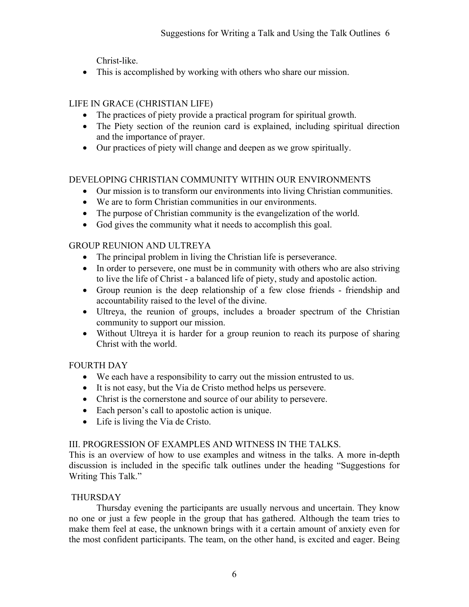Christ-like.

• This is accomplished by working with others who share our mission.

# LIFE IN GRACE (CHRISTIAN LIFE)

- The practices of piety provide a practical program for spiritual growth.
- The Piety section of the reunion card is explained, including spiritual direction and the importance of prayer.
- Our practices of piety will change and deepen as we grow spiritually.

# DEVELOPING CHRISTIAN COMMUNITY WITHIN OUR ENVIRONMENTS

- Our mission is to transform our environments into living Christian communities.
- We are to form Christian communities in our environments.
- The purpose of Christian community is the evangelization of the world.
- God gives the community what it needs to accomplish this goal.

# GROUP REUNION AND ULTREYA

- The principal problem in living the Christian life is perseverance.
- In order to persevere, one must be in community with others who are also striving to live the life of Christ - a balanced life of piety, study and apostolic action.
- Group reunion is the deep relationship of a few close friends friendship and accountability raised to the level of the divine.
- Ultreya, the reunion of groups, includes a broader spectrum of the Christian community to support our mission.
- Without Ultreya it is harder for a group reunion to reach its purpose of sharing Christ with the world.

# FOURTH DAY

- We each have a responsibility to carry out the mission entrusted to us.
- It is not easy, but the Via de Cristo method helps us persevere.
- Christ is the cornerstone and source of our ability to persevere.
- Each person's call to apostolic action is unique.
- Life is living the Via de Cristo.

# III. PROGRESSION OF EXAMPLES AND WITNESS IN THE TALKS.

This is an overview of how to use examples and witness in the talks. A more in-depth discussion is included in the specific talk outlines under the heading "Suggestions for Writing This Talk."

# THURSDAY

 Thursday evening the participants are usually nervous and uncertain. They know no one or just a few people in the group that has gathered. Although the team tries to make them feel at ease, the unknown brings with it a certain amount of anxiety even for the most confident participants. The team, on the other hand, is excited and eager. Being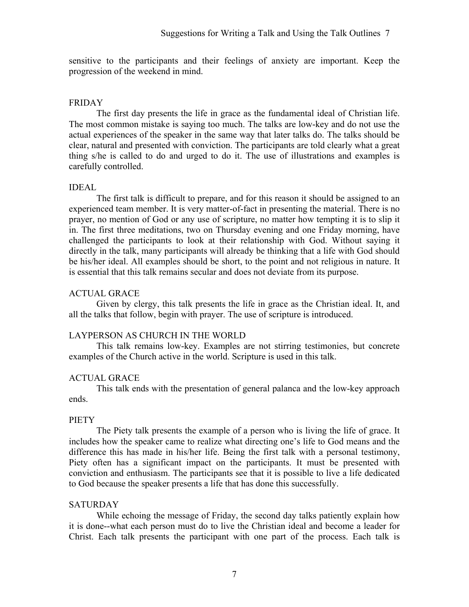sensitive to the participants and their feelings of anxiety are important. Keep the progression of the weekend in mind.

#### FRIDAY

 The first day presents the life in grace as the fundamental ideal of Christian life. The most common mistake is saying too much. The talks are low-key and do not use the actual experiences of the speaker in the same way that later talks do. The talks should be clear, natural and presented with conviction. The participants are told clearly what a great thing s/he is called to do and urged to do it. The use of illustrations and examples is carefully controlled.

### IDEAL

 The first talk is difficult to prepare, and for this reason it should be assigned to an experienced team member. It is very matter-of-fact in presenting the material. There is no prayer, no mention of God or any use of scripture, no matter how tempting it is to slip it in. The first three meditations, two on Thursday evening and one Friday morning, have challenged the participants to look at their relationship with God. Without saying it directly in the talk, many participants will already be thinking that a life with God should be his/her ideal. All examples should be short, to the point and not religious in nature. It is essential that this talk remains secular and does not deviate from its purpose.

### ACTUAL GRACE

 Given by clergy, this talk presents the life in grace as the Christian ideal. It, and all the talks that follow, begin with prayer. The use of scripture is introduced.

## LAYPERSON AS CHURCH IN THE WORLD

 This talk remains low-key. Examples are not stirring testimonies, but concrete examples of the Church active in the world. Scripture is used in this talk.

## ACTUAL GRACE

 This talk ends with the presentation of general palanca and the low-key approach ends.

#### **PIETY**

The Piety talk presents the example of a person who is living the life of grace. It includes how the speaker came to realize what directing one's life to God means and the difference this has made in his/her life. Being the first talk with a personal testimony, Piety often has a significant impact on the participants. It must be presented with conviction and enthusiasm. The participants see that it is possible to live a life dedicated to God because the speaker presents a life that has done this successfully.

#### **SATURDAY**

 While echoing the message of Friday, the second day talks patiently explain how it is done--what each person must do to live the Christian ideal and become a leader for Christ. Each talk presents the participant with one part of the process. Each talk is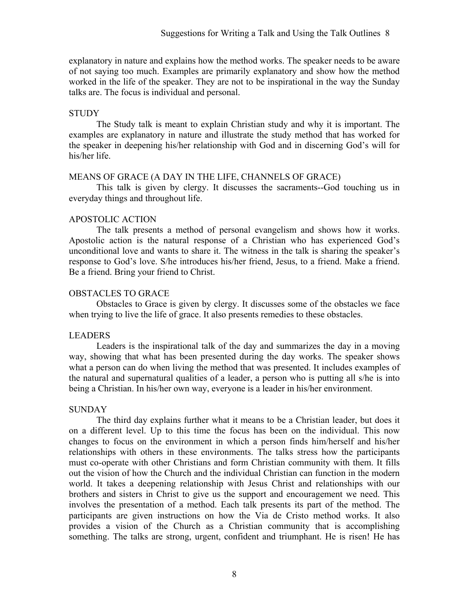explanatory in nature and explains how the method works. The speaker needs to be aware of not saying too much. Examples are primarily explanatory and show how the method worked in the life of the speaker. They are not to be inspirational in the way the Sunday talks are. The focus is individual and personal.

#### **STUDY**

 The Study talk is meant to explain Christian study and why it is important. The examples are explanatory in nature and illustrate the study method that has worked for the speaker in deepening his/her relationship with God and in discerning God's will for his/her life.

#### MEANS OF GRACE (A DAY IN THE LIFE, CHANNELS OF GRACE)

 This talk is given by clergy. It discusses the sacraments--God touching us in everyday things and throughout life.

#### APOSTOLIC ACTION

 The talk presents a method of personal evangelism and shows how it works. Apostolic action is the natural response of a Christian who has experienced God's unconditional love and wants to share it. The witness in the talk is sharing the speaker's response to God's love. S/he introduces his/her friend, Jesus, to a friend. Make a friend. Be a friend. Bring your friend to Christ.

#### OBSTACLES TO GRACE

Obstacles to Grace is given by clergy. It discusses some of the obstacles we face when trying to live the life of grace. It also presents remedies to these obstacles.

#### LEADERS

 Leaders is the inspirational talk of the day and summarizes the day in a moving way, showing that what has been presented during the day works. The speaker shows what a person can do when living the method that was presented. It includes examples of the natural and supernatural qualities of a leader, a person who is putting all s/he is into being a Christian. In his/her own way, everyone is a leader in his/her environment.

#### **SUNDAY**

The third day explains further what it means to be a Christian leader, but does it on a different level. Up to this time the focus has been on the individual. This now changes to focus on the environment in which a person finds him/herself and his/her relationships with others in these environments. The talks stress how the participants must co-operate with other Christians and form Christian community with them. It fills out the vision of how the Church and the individual Christian can function in the modern world. It takes a deepening relationship with Jesus Christ and relationships with our brothers and sisters in Christ to give us the support and encouragement we need. This involves the presentation of a method. Each talk presents its part of the method. The participants are given instructions on how the Via de Cristo method works. It also provides a vision of the Church as a Christian community that is accomplishing something. The talks are strong, urgent, confident and triumphant. He is risen! He has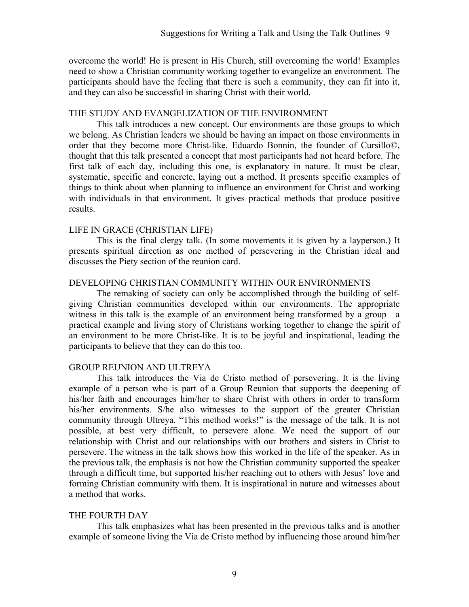overcome the world! He is present in His Church, still overcoming the world! Examples need to show a Christian community working together to evangelize an environment. The participants should have the feeling that there is such a community, they can fit into it, and they can also be successful in sharing Christ with their world.

#### THE STUDY AND EVANGELIZATION OF THE ENVIRONMENT

This talk introduces a new concept. Our environments are those groups to which we belong. As Christian leaders we should be having an impact on those environments in order that they become more Christ-like. Eduardo Bonnin, the founder of Cursillo©, thought that this talk presented a concept that most participants had not heard before. The first talk of each day, including this one, is explanatory in nature. It must be clear, systematic, specific and concrete, laying out a method. It presents specific examples of things to think about when planning to influence an environment for Christ and working with individuals in that environment. It gives practical methods that produce positive results.

#### LIFE IN GRACE (CHRISTIAN LIFE)

This is the final clergy talk. (In some movements it is given by a layperson.) It presents spiritual direction as one method of persevering in the Christian ideal and discusses the Piety section of the reunion card.

#### DEVELOPING CHRISTIAN COMMUNITY WITHIN OUR ENVIRONMENTS

The remaking of society can only be accomplished through the building of selfgiving Christian communities developed within our environments. The appropriate witness in this talk is the example of an environment being transformed by a group—a practical example and living story of Christians working together to change the spirit of an environment to be more Christ-like. It is to be joyful and inspirational, leading the participants to believe that they can do this too.

#### GROUP REUNION AND ULTREYA

This talk introduces the Via de Cristo method of persevering. It is the living example of a person who is part of a Group Reunion that supports the deepening of his/her faith and encourages him/her to share Christ with others in order to transform his/her environments. S/he also witnesses to the support of the greater Christian community through Ultreya. "This method works!" is the message of the talk. It is not possible, at best very difficult, to persevere alone. We need the support of our relationship with Christ and our relationships with our brothers and sisters in Christ to persevere. The witness in the talk shows how this worked in the life of the speaker. As in the previous talk, the emphasis is not how the Christian community supported the speaker through a difficult time, but supported his/her reaching out to others with Jesus' love and forming Christian community with them. It is inspirational in nature and witnesses about a method that works.

#### THE FOURTH DAY

This talk emphasizes what has been presented in the previous talks and is another example of someone living the Via de Cristo method by influencing those around him/her